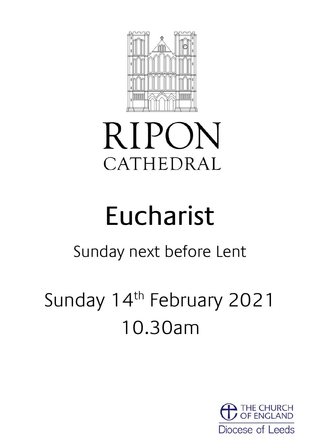

# **RIPON** CATHEDRAL

# Eucharist

# Sunday next before Lent

# Sunday 14<sup>th</sup> February 2021 10.30am

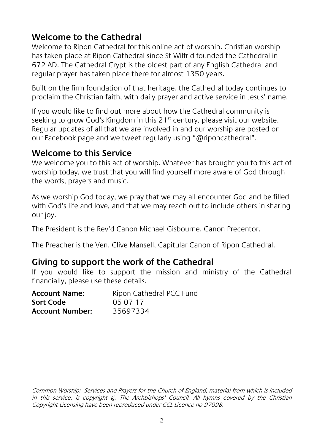#### **Welcome to the Cathedral**

Welcome to Ripon Cathedral for this online act of worship. Christian worship has taken place at Ripon Cathedral since St Wilfrid founded the Cathedral in 672 AD. The Cathedral Crypt is the oldest part of any English Cathedral and regular prayer has taken place there for almost 1350 years.

Built on the firm foundation of that heritage, the Cathedral today continues to proclaim the Christian faith, with daily prayer and active service in Jesus' name.

If you would like to find out more about how the Cathedral community is seeking to grow God's Kingdom in this 21<sup>st</sup> century, please visit our website. Regular updates of all that we are involved in and our worship are posted on our Facebook page and we tweet regularly using "@riponcathedral".

#### **Welcome to this Service**

We welcome you to this act of worship. Whatever has brought you to this act of worship today, we trust that you will find yourself more aware of God through the words, prayers and music.

As we worship God today, we pray that we may all encounter God and be filled with God's life and love, and that we may reach out to include others in sharing our joy.

The President is the Rev'd Canon Michael Gisbourne, Canon Precentor.

The Preacher is the Ven. Clive Mansell, Capitular Canon of Ripon Cathedral.

#### **Giving to support the work of the Cathedral**

If you would like to support the mission and ministry of the Cathedral financially, please use these details.

| <b>Account Name:</b>   | Ripon Cathedral PCC Fund |
|------------------------|--------------------------|
| Sort Code              | 05 07 17                 |
| <b>Account Number:</b> | 35697334                 |

Common Worship: Services and Prayers for the Church of England, material from which is included in this service, is copyright © The Archbishops' Council. All hymns covered by the Christian Copyright Licensing have been reproduced under CCL Licence no 97098.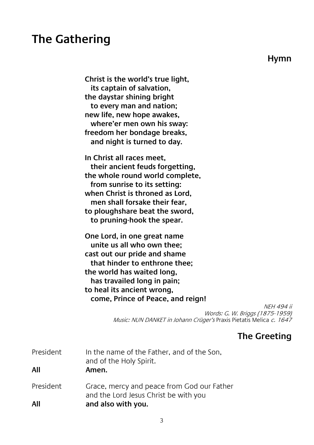### **The Gathering**

**Hymn**

**Christ is the world's true light, its captain of salvation, the daystar shining bright to every man and nation; new life, new hope awakes, where'er men own his sway: freedom her bondage breaks, and night is turned to day.**

**In Christ all races meet, their ancient feuds forgetting, the whole round world complete, from sunrise to its setting: when Christ is throned as Lord, men shall forsake their fear, to ploughshare beat the sword, to pruning-hook the spear.**

**One Lord, in one great name unite us all who own thee; cast out our pride and shame that hinder to enthrone thee; the world has waited long, has travailed long in pain; to heal its ancient wrong, come, Prince of Peace, and reign!**

> NEH 494 ii Words: G. W. Briggs (1875-1959) Music: NUN DANKET in Johann Crüger's Praxis Pietatis Melica c. 1647

#### **The Greeting**

| President<br>All | In the name of the Father, and of the Son,<br>and of the Holy Spirit.<br>Amen.      |
|------------------|-------------------------------------------------------------------------------------|
| President        | Grace, mercy and peace from God our Father<br>and the Lord Jesus Christ be with you |
| All              | and also with you.                                                                  |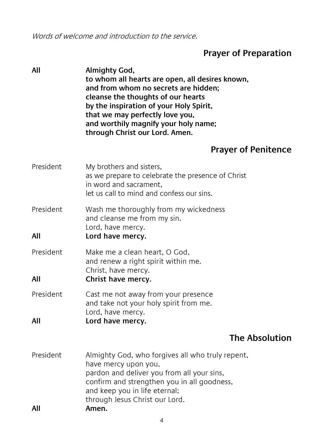Words of welcome and introduction to the service.

### **Prayer of Preparation**

| All              | Almighty God,<br>to whom all hearts are open, all desires known,<br>and from whom no secrets are hidden;<br>cleanse the thoughts of our hearts<br>by the inspiration of your Holy Spirit,<br>that we may perfectly love you,<br>and worthily magnify your holy name;<br>through Christ our Lord. Amen. |
|------------------|--------------------------------------------------------------------------------------------------------------------------------------------------------------------------------------------------------------------------------------------------------------------------------------------------------|
|                  | <b>Prayer of Penitence</b>                                                                                                                                                                                                                                                                             |
| President        | My brothers and sisters,<br>as we prepare to celebrate the presence of Christ<br>in word and sacrament,<br>let us call to mind and confess our sins.                                                                                                                                                   |
| President<br>All | Wash me thoroughly from my wickedness<br>and cleanse me from my sin.<br>Lord, have mercy.<br>Lord have mercy.                                                                                                                                                                                          |
| President<br>All | Make me a clean heart, O God,<br>and renew a right spirit within me.<br>Christ, have mercy.<br>Christ have mercy.                                                                                                                                                                                      |
| President<br>All | Cast me not away from your presence<br>and take not your holy spirit from me.<br>Lord, have mercy.<br>Lord have mercy.                                                                                                                                                                                 |
|                  | <b>The Absolution</b>                                                                                                                                                                                                                                                                                  |
| President<br>All | Almighty God, who forgives all who truly repent,<br>have mercy upon you,<br>pardon and deliver you from all your sins,<br>confirm and strengthen you in all goodness,<br>and keep you in life eternal;<br>through Jesus Christ our Lord.<br>Amen.                                                      |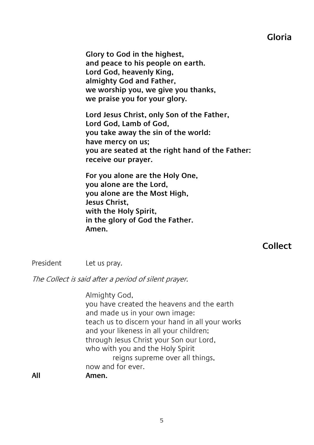#### **Gloria**

**Glory to God in the highest, and peace to his people on earth. Lord God, heavenly King, almighty God and Father, we worship you, we give you thanks, we praise you for your glory.**

**Lord Jesus Christ, only Son of the Father, Lord God, Lamb of God, you take away the sin of the world: have mercy on us; you are seated at the right hand of the Father: receive our prayer.**

**For you alone are the Holy One, you alone are the Lord, you alone are the Most High, Jesus Christ, with the Holy Spirit, in the glory of God the Father. Amen.**

#### **Collect**

President Let us pray.

The Collect is said after a period of silent prayer.

Almighty God, you have created the heavens and the earth and made us in your own image: teach us to discern your hand in all your works and your likeness in all your children; through Jesus Christ your Son our Lord, who with you and the Holy Spirit reigns supreme over all things, now and for ever. **All Amen.**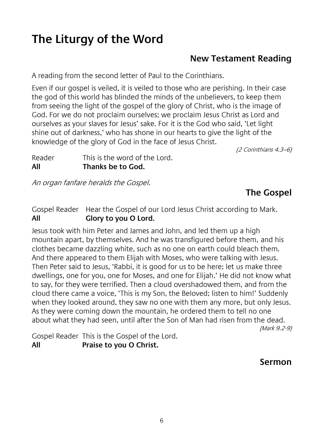# **The Liturgy of the Word**

#### **New Testament Reading**

A reading from the second letter of Paul to the Corinthians.

Even if our gospel is veiled, it is veiled to those who are perishing. In their case the god of this world has blinded the minds of the unbelievers, to keep them from seeing the light of the gospel of the glory of Christ, who is the image of God. For we do not proclaim ourselves; we proclaim Jesus Christ as Lord and ourselves as your slaves for Jesus' sake. For it is the God who said, 'Let light shine out of darkness,' who has shone in our hearts to give the light of the knowledge of the glory of God in the face of Jesus Christ.

(2 Corinthians 4.3–6)

Reader This is the word of the Lord. **All Thanks be to God.**

An organ fanfare heralds the Gospel.

#### **The Gospel**

Gospel Reader Hear the Gospel of our Lord Jesus Christ according to Mark. **All Glory to you O Lord.**

Jesus took with him Peter and James and John, and led them up a high mountain apart, by themselves. And he was transfigured before them, and his clothes became dazzling white, such as no one on earth could bleach them. And there appeared to them Elijah with Moses, who were talking with Jesus. Then Peter said to Jesus, 'Rabbi, it is good for us to be here; let us make three dwellings, one for you, one for Moses, and one for Elijah.' He did not know what to say, for they were terrified. Then a cloud overshadowed them, and from the cloud there came a voice, 'This is my Son, the Beloved; listen to him!' Suddenly when they looked around, they saw no one with them any more, but only Jesus. As they were coming down the mountain, he ordered them to tell no one about what they had seen, until after the Son of Man had risen from the dead.

(Mark 9.2-9)

Gospel Reader This is the Gospel of the Lord. **All Praise to you O Christ.**

#### **Sermon**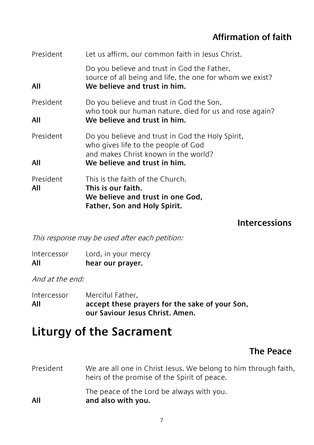#### **Affirmation of faith**

| President        | Let us affirm, our common faith in Jesus Christ.                                                                                        |
|------------------|-----------------------------------------------------------------------------------------------------------------------------------------|
| All              | Do you believe and trust in God the Father,<br>source of all being and life, the one for whom we exist?<br>We believe and trust in him. |
| President        | Do you believe and trust in God the Son,<br>who took our human nature, died for us and rose again?                                      |
| All              | We believe and trust in him.                                                                                                            |
| President        | Do you believe and trust in God the Holy Spirit,<br>who gives life to the people of God<br>and makes Christ known in the world?         |
| All              | We believe and trust in him.                                                                                                            |
| President<br>All | This is the faith of the Church.<br>This is our faith.<br>We believe and trust in one God,<br>Father, Son and Holy Spirit.              |

#### **Intercessions**

This response may be used after each petition:

| All         | hear our prayer.    |
|-------------|---------------------|
| Intercessor | Lord, in your mercy |

And at the end:

| Intercessor | Merciful Father.                               |
|-------------|------------------------------------------------|
| All         | accept these prayers for the sake of your Son, |
|             | our Saviour Jesus Christ. Amen.                |

# **Liturgy of the Sacrament**

#### **The Peace**

President We are all one in Christ Jesus. We belong to him through faith, heirs of the promise of the Spirit of peace. The peace of the Lord be always with you. **All and also with you.**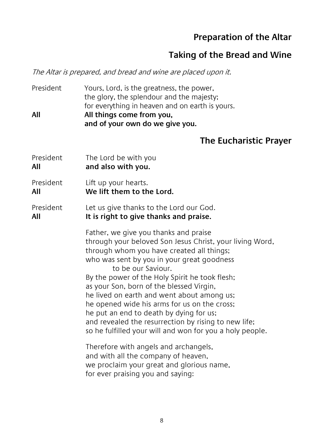#### **Preparation of the Altar**

#### **Taking of the Bread and Wine**

The Altar is prepared, and bread and wine are placed upon it.

President Yours, Lord, is the greatness, the power, the glory, the splendour and the majesty; for everything in heaven and on earth is yours. **All All things come from you, and of your own do we give you.**

## **The Eucharistic Prayer**

|                  | THE EUCHALISTIC PLAY                                                                                                                                                                                                                                                                                                                                                                                                                                                                                                                                                          |
|------------------|-------------------------------------------------------------------------------------------------------------------------------------------------------------------------------------------------------------------------------------------------------------------------------------------------------------------------------------------------------------------------------------------------------------------------------------------------------------------------------------------------------------------------------------------------------------------------------|
| President<br>All | The Lord be with you<br>and also with you.                                                                                                                                                                                                                                                                                                                                                                                                                                                                                                                                    |
| President<br>All | Lift up your hearts.<br>We lift them to the Lord.                                                                                                                                                                                                                                                                                                                                                                                                                                                                                                                             |
| President<br>All | Let us give thanks to the Lord our God.<br>It is right to give thanks and praise.                                                                                                                                                                                                                                                                                                                                                                                                                                                                                             |
|                  | Father, we give you thanks and praise<br>through your beloved Son Jesus Christ, your living Word,<br>through whom you have created all things;<br>who was sent by you in your great goodness<br>to be our Saviour.<br>By the power of the Holy Spirit he took flesh;<br>as your Son, born of the blessed Virgin,<br>he lived on earth and went about among us;<br>he opened wide his arms for us on the cross;<br>he put an end to death by dying for us;<br>and revealed the resurrection by rising to new life;<br>so he fulfilled your will and won for you a holy people. |
|                  | Therefore with angels and archangels,<br>and with all the company of heaven,<br>we proclaim your great and glorious name,<br>for ever praising you and saying:                                                                                                                                                                                                                                                                                                                                                                                                                |
|                  |                                                                                                                                                                                                                                                                                                                                                                                                                                                                                                                                                                               |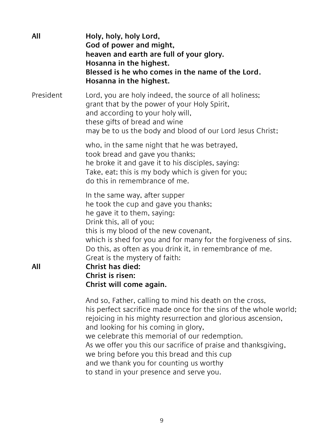| All       | Holy, holy, holy Lord,<br>God of power and might,<br>heaven and earth are full of your glory.<br>Hosanna in the highest.<br>Blessed is he who comes in the name of the Lord.<br>Hosanna in the highest.                                                                                                                                                                                                      |
|-----------|--------------------------------------------------------------------------------------------------------------------------------------------------------------------------------------------------------------------------------------------------------------------------------------------------------------------------------------------------------------------------------------------------------------|
| President | Lord, you are holy indeed, the source of all holiness;<br>grant that by the power of your Holy Spirit,<br>and according to your holy will,<br>these gifts of bread and wine<br>may be to us the body and blood of our Lord Jesus Christ;                                                                                                                                                                     |
|           | who, in the same night that he was betrayed,<br>took bread and gave you thanks;<br>he broke it and gave it to his disciples, saying:<br>Take, eat; this is my body which is given for you;<br>do this in remembrance of me.                                                                                                                                                                                  |
| All       | In the same way, after supper<br>he took the cup and gave you thanks;<br>he gave it to them, saying:<br>Drink this, all of you;<br>this is my blood of the new covenant,<br>which is shed for you and for many for the forgiveness of sins.<br>Do this, as often as you drink it, in remembrance of me.<br>Great is the mystery of faith:<br>Christ has died:<br>Christ is risen:<br>Christ will come again. |
|           | And so, Father, calling to mind his death on the cross,<br>his perfect sacrifice made once for the sins of the whole world;<br>rejoicing in his mighty resurrection and glorious ascension,<br>and looking for his coming in glory,<br>we celebrate this memorial of our redemption.<br>As we offer you this our sacrifice of praise and thanksgiving,<br>we bring before you this bread and this cup        |

and we thank you for counting us worthy

to stand in your presence and serve you.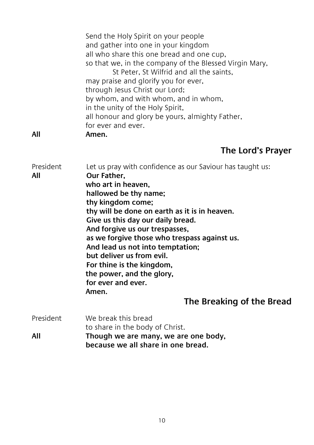|     | Send the Holy Spirit on your people                    |
|-----|--------------------------------------------------------|
|     | and gather into one in your kingdom                    |
|     | all who share this one bread and one cup,              |
|     | so that we, in the company of the Blessed Virgin Mary, |
|     | St Peter, St Wilfrid and all the saints,               |
|     | may praise and glorify you for ever,                   |
|     | through Jesus Christ our Lord;                         |
|     | by whom, and with whom, and in whom,                   |
|     | in the unity of the Holy Spirit,                       |
|     | all honour and glory be yours, almighty Father,        |
|     | for ever and ever.                                     |
| All | Amen.                                                  |

**The Lord's Prayer**

| President<br>All | Let us pray with confidence as our Saviour has taught us:<br>Our Father,<br>who art in heaven.<br>hallowed be thy name;<br>thy kingdom come;<br>thy will be done on earth as it is in heaven.<br>Give us this day our daily bread.<br>And forgive us our trespasses,<br>as we forgive those who trespass against us.<br>And lead us not into temptation;<br>but deliver us from evil.<br>For thine is the kingdom,<br>the power, and the glory,<br>for ever and ever.<br>Amen.<br>The Breaking of the Bread |
|------------------|-------------------------------------------------------------------------------------------------------------------------------------------------------------------------------------------------------------------------------------------------------------------------------------------------------------------------------------------------------------------------------------------------------------------------------------------------------------------------------------------------------------|
| <b>President</b> | We break this bread<br>to share in the body of Christ.                                                                                                                                                                                                                                                                                                                                                                                                                                                      |

**All Though we are many, we are one body, because we all share in one bread.**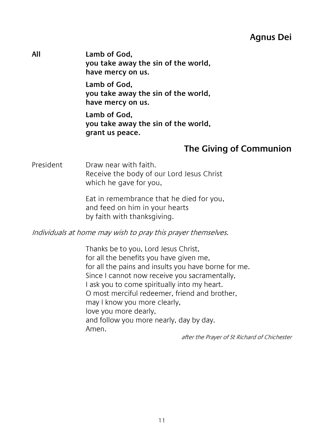#### **Agnus Dei**

**All Lamb of God, you take away the sin of the world, have mercy on us.**

> **Lamb of God, you take away the sin of the world, have mercy on us.**

> **Lamb of God, you take away the sin of the world, grant us peace.**

#### **The Giving of Communion**

President Draw near with faith. Receive the body of our Lord Jesus Christ which he gave for you,

> Eat in remembrance that he died for you, and feed on him in your hearts by faith with thanksgiving.

Individuals at home may wish to pray this prayer themselves.

Thanks be to you, Lord Jesus Christ, for all the benefits you have given me, for all the pains and insults you have borne for me. Since I cannot now receive you sacramentally, I ask you to come spiritually into my heart. O most merciful redeemer, friend and brother, may I know you more clearly, love you more dearly, and follow you more nearly, day by day. Amen.

after the Prayer of St Richard of Chichester